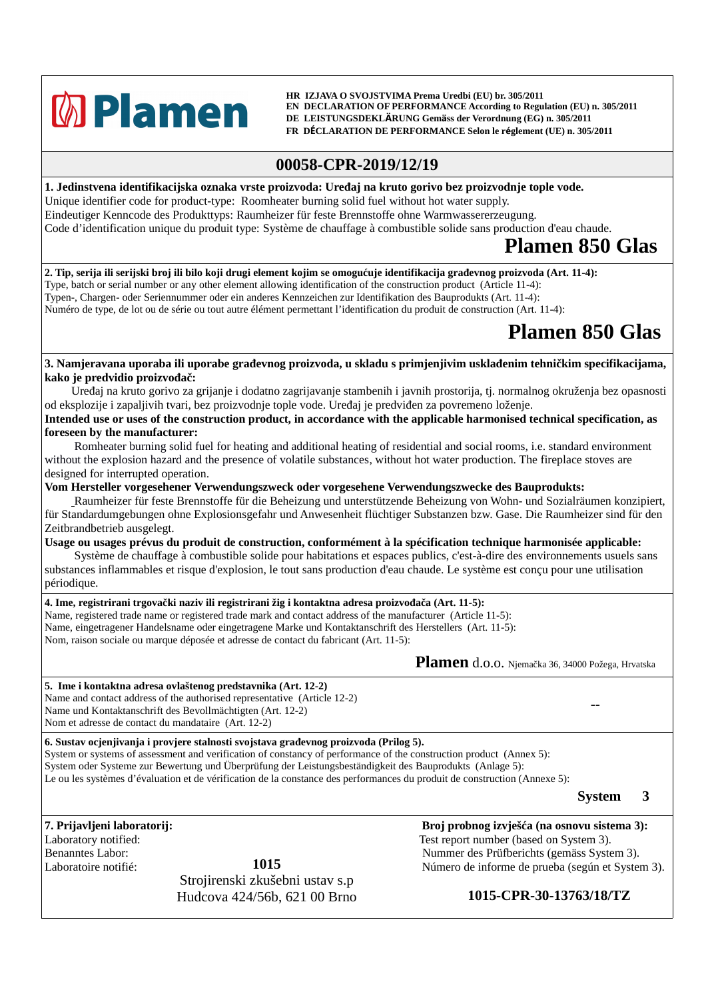

 **HR IZJAVA O SVOJSTVIMA Prema Uredbi (EU) br. 305/2011 EN DECLARATION OF PERFORMANCE According to Regulation (EU) n. 305/2011 DE LEISTUNGSDEKLÄRUNG Gemäss der Verordnung (EG) n. 305/2011 FR DÉCLARATION DE PERFORMANCE Selon le réglement (UE) n. 305/2011**

## **00058-CPR-2019/12/19**

**1. Jedinstvena identifikacijska oznaka vrste proizvoda: Uređaj na kruto gorivo bez proizvodnje tople vode.** Unique identifier code for product-type: Roomheater burning solid fuel without hot water supply. Eindeutiger Kenncode des Produkttyps: Raumheizer für feste Brennstoffe ohne Warmwassererzeugung. Code d'identification unique du produit type: Système de chauffage à combustible solide sans production d'eau chaude.

## **Plamen 850 Glas**

**2. Tip, serija ili serijski broj ili bilo koji drugi element kojim se omogućuje identifikacija građevnog proizvoda (Art. 11-4):** Type, batch or serial number or any other element allowing identification of the construction product (Article 11-4): Typen-, Chargen- oder Seriennummer oder ein anderes Kennzeichen zur Identifikation des Bauprodukts (Art. 11-4): Numéro de type, de lot ou de série ou tout autre élément permettant l'identification du produit de construction (Art. 11-4):

## **Plamen 850 Glas**

**3. Namjeravana uporaba ili uporabe građevnog proizvoda, u skladu s primjenjivim usklađenim tehničkim specifikacijama, kako je predvidio proizvođač:**

Uređaj na kruto gorivo za grijanje i dodatno zagrijavanje stambenih i javnih prostorija, tj. normalnog okruženja bez opasnosti od eksplozije i zapaljivih tvari, bez proizvodnje tople vode. Uređaj je predviđen za povremeno loženje.

**Intended use or uses of the construction product, in accordance with the applicable harmonised technical specification, as foreseen by the manufacturer:**

 Romheater burning solid fuel for heating and additional heating of residential and social rooms, i.e. standard environment without the explosion hazard and the presence of volatile substances, without hot water production. The fireplace stoves are designed for interrupted operation.

**Vom Hersteller vorgesehener Verwendungszweck oder vorgesehene Verwendungszwecke des Bauprodukts:**

 Raumheizer für feste Brennstoffe für die Beheizung und unterstützende Beheizung von Wohn- und Sozialräumen konzipiert, für Standardumgebungen ohne Explosionsgefahr und Anwesenheit flüchtiger Substanzen bzw. Gase. Die Raumheizer sind für den Zeitbrandbetrieb ausgelegt.

**Usage ou usages prévus du produit de construction, conformément à la spécification technique harmonisée applicable:**

 Système de chauffage à combustible solide pour habitations et espaces publics, c'est-à-dire des environnements usuels sans substances inflammables et risque d'explosion, le tout sans production d'eau chaude. Le système est conçu pour une utilisation périodique.

**4. Ime, registrirani trgovački naziv ili registrirani žig i kontaktna adresa proizvođača (Art. 11-5):** Name, registered trade name or registered trade mark and contact address of the manufacturer (Article 11-5): Name, eingetragener Handelsname oder eingetragene Marke und Kontaktanschrift des Herstellers (Art. 11-5): Nom, raison sociale ou marque déposée et adresse de contact du fabricant (Art. 11-5):

**Plamen** d.o.o. Njemačka 36, 34000 Požega, Hrvatska

**5. Ime i kontaktna adresa ovlaštenog predstavnika (Art. 12-2)** Name and contact address of the authorised representative (Article 12-2) Name und Kontaktanschrift des Bevollmächtigten (Art. 12-2) Nom et adresse de contact du mandataire (Art. 12-2)

**6. Sustav ocjenjivanja i provjere stalnosti svojstava građevnog proizvoda (Prilog 5).**

System or systems of assessment and verification of constancy of performance of the construction product (Annex 5): System oder Systeme zur Bewertung und Überprüfung der Leistungsbeständigkeit des Bauprodukts (Anlage 5): Le ou les systèmes d'évaluation et de vérification de la constance des performances du produit de construction (Annexe 5):

**System 3**

**--**

**1015** Strojirenski zkušebni ustav s.p Hudcova 424/56b, 621 00 Brno **1015-CPR-30-13763/18/TZ**

**7. Prijavljeni laboratorij: Broj probnog izvješća (na osnovu sistema 3):** Laboratory notified: Test report number (based on System 3). Benanntes Labor: Nummer des Prüfberichts (gemäss System 3). Laboratoire notifié:  $1015$   $1015$  Número de informe de prueba (según et System 3).